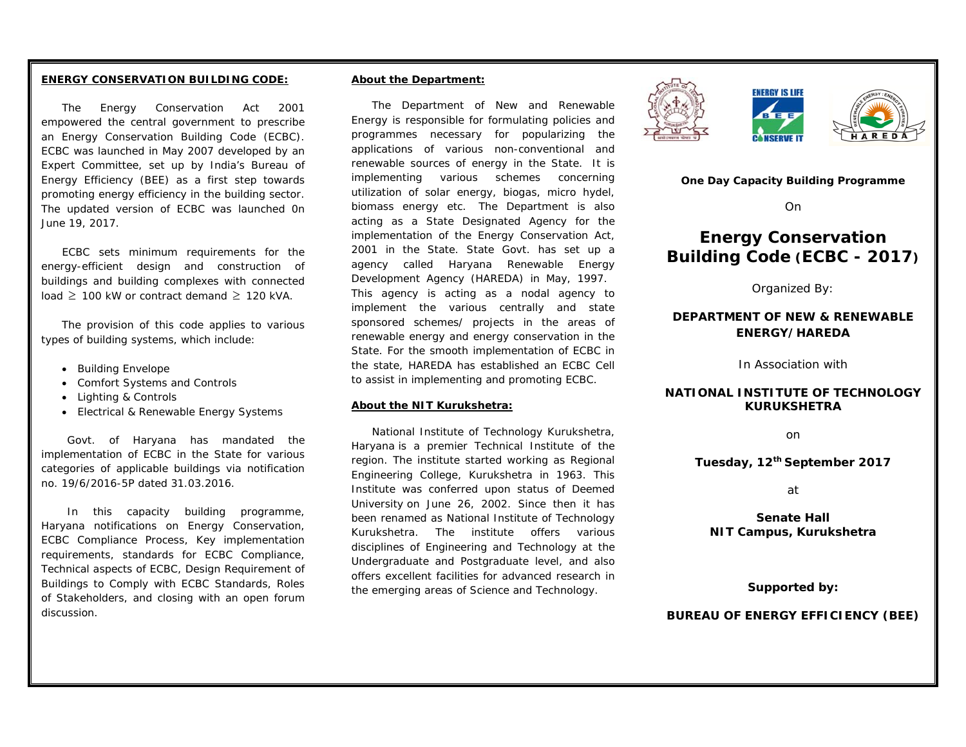#### **ENERGY CONSERVATION BUILDING CODE:**

The Energy Conservation Act 2001 empowered the central government to prescribe an Energy Conservation Building Code (ECBC). ECBC was launched in May 2007 developed by an Expert Committee, set up by India's Bureau of Energy Efficiency (BEE) as a first step towards promoting energy efficiency in the building sector. The updated version of ECBC was launched 0n June 19, 2017.

ECBC sets minimum requirements for the energy-efficient design and construction of buildings and building complexes with connected load ≥ 100 kW or contract demand ≥ 120 kVA.

The provision of this code applies to various types of building systems, which include:

- Building Envelope
- Comfort Systems and Controls
- Lighting & Controls
- Electrical & Renewable Energy Systems

Govt. of Haryana has mandated the implementation of ECBC in the State for various categories of applicable buildings via notification no. 19/6/2016-5P dated 31.03.2016.

In this capacity building programme, Haryana notifications on Energy Conservation, ECBC Compliance Process, Key implementation requirements, standards for ECBC Compliance, Technical aspects of ECBC, Design Requirement of Buildings to Comply with ECBC Standards, Roles of Stakeholders, and closing with an open forum discussion.

#### **About the Department:**

The Department of New and Renewable Energy is responsible for formulating policies and programmes necessary for popularizing the applications of various non-conventional and renewable sources of energy in the State. It is implementing various schemes concerning utilization of solar energy, biogas, micro hydel, biomass energy etc. The Department is also acting as a State Designated Agency for the implementation of the Energy Conservation Act, 2001 in the State. State Govt. has set up a agency called Haryana Renewable Energy Development Agency (HAREDA) in May, 1997. This agency is acting as a nodal agency to implement the various centrally and state sponsored schemes/ projects in the areas of renewable energy and energy conservation in the State. For the smooth implementation of ECBC in the state, HAREDA has established an ECBC Cell to assist in implementing and promoting ECBC.

#### **About the NIT Kurukshetra:**

National Institute of Technology Kurukshetra, Haryana is a premier Technical Institute of the region. The institute started working as Regional Engineering College, Kurukshetra in 1963. This Institute was conferred upon status of Deemed University on June 26, 2002. Since then it has been renamed as National Institute of Technology Kurukshetra. The institute offers various disciplines of Engineering and Technology at the Undergraduate and Postgraduate level, and also offers excellent facilities for advanced research in the emerging areas of Science and Technology.





**One Day Capacity Building Programme** 

**NSERVE I** 

On

# **Energy Conservation Building Code (ECBC - 2017)**

Organized By:

# **DEPARTMENT OF NEW & RENEWABLE ENERGY/HAREDA**

In Association with

# **NATIONAL INSTITUTE OF TECHNOLOGY KURUKSHETRA**

on

**Tuesday, 12th September 2017** 

at

**Senate Hall NIT Campus, Kurukshetra** 

**Supported by:** 

**BUREAU OF ENERGY EFFICIENCY (BEE)**